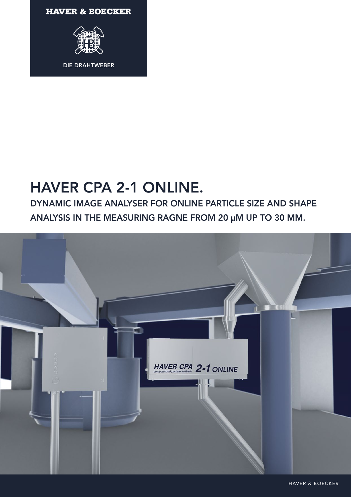**HAVER & BOECKER** 



# HAVER CPA 2-1 ONLINE.

DYNAMIC IMAGE ANALYSER FOR ONLINE PARTICLE SIZE AND SHAPE ANALYSIS IN THE MEASURING RAGNE FROM 20 µM UP TO 30 MM.



HAVER & BOECKER